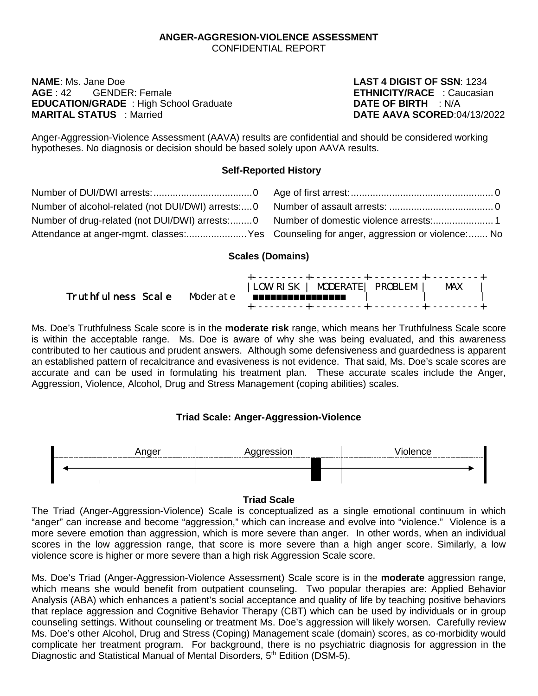#### **ANGER-AGGRESION-VIOLENCE ASSESSMENT** CONFIDENTIAL REPORT

**NAME**: Ms. Jane Doe **LAST 4 DIGIST OF SSN**: 1234 **AGE** : 42 GENDER: Female **ETHNICITY/RACE** : Caucasian **EDUCATION/GRADE** : High School Graduate **DATE OF BIRTH** : N/A<br> **MARITAL STATUS** Married<br> **DATE AAVA SCORED** 04/13/2022 **MARITAL STATUS** : Married

Anger-Aggression-Violence Assessment (AAVA) results are confidential and should be considered working hypotheses. No diagnosis or decision should be based solely upon AAVA results.

# **Self-Reported History**

| Number of drug-related (not DUI/DWI) arrests:0 Number of domestic violence arrests:1   |  |
|----------------------------------------------------------------------------------------|--|
| Attendance at anger-mgmt. classes:Yes Counseling for anger, aggression or violence: No |  |

# **Scales (Domains)**

| Truthfulness Scale Moderate <b>EXPLESSIONER</b> | LOW RISK   MODERATE  PROBLEM |  | MAX |  |
|-------------------------------------------------|------------------------------|--|-----|--|
|                                                 |                              |  |     |  |

Ms. Doe's Truthfulness Scale score is in the **moderate risk** range, which means her Truthfulness Scale score is within the acceptable range. Ms. Doe is aware of why she was being evaluated, and this awareness contributed to her cautious and prudent answers. Although some defensiveness and guardedness is apparent an established pattern of recalcitrance and evasiveness is not evidence. That said, Ms. Doe's scale scores are accurate and can be used in formulating his treatment plan. These accurate scales include the Anger, Aggression, Violence, Alcohol, Drug and Stress Management (coping abilities) scales.

# **Triad Scale: Anger-Aggression-Violence**



# **Triad Scale**

The Triad (Anger-Aggression-Violence) Scale is conceptualized as a single emotional continuum in which "anger" can increase and become "aggression," which can increase and evolve into "violence." Violence is a more severe emotion than aggression, which is more severe than anger. In other words, when an individual scores in the low aggression range, that score is more severe than a high anger score. Similarly, a low violence score is higher or more severe than a high risk Aggression Scale score.

Ms. Doe's Triad (Anger-Aggression-Violence Assessment) Scale score is in the **moderate** aggression range, which means she would benefit from outpatient counseling. Two popular therapies are: Applied Behavior Analysis (ABA) which enhances a patient's social acceptance and quality of life by teaching positive behaviors that replace aggression and Cognitive Behavior Therapy (CBT) which can be used by individuals or in group counseling settings. Without counseling or treatment Ms. Doe's aggression will likely worsen. Carefully review Ms. Doe's other Alcohol, Drug and Stress (Coping) Management scale (domain) scores, as co-morbidity would complicate her treatment program. For background, there is no psychiatric diagnosis for aggression in the Diagnostic and Statistical Manual of Mental Disorders, 5<sup>th</sup> Edition (DSM-5).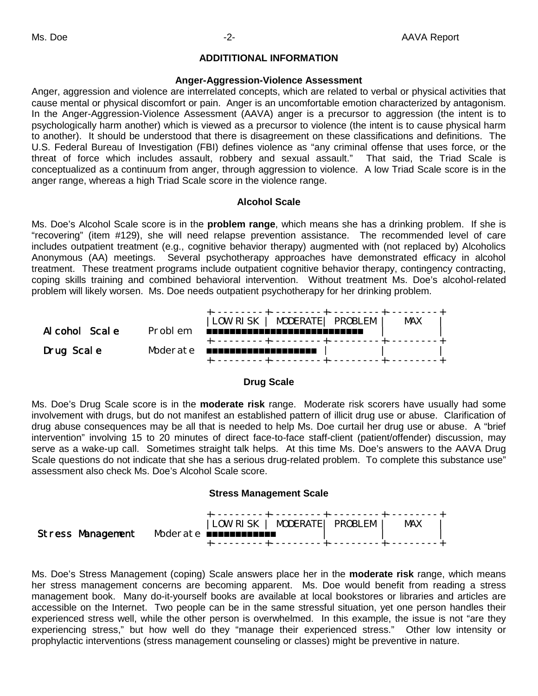# **ADDITITIONAL INFORMATION**

#### **Anger-Aggression-Violence Assessment**

Anger, aggression and violence are interrelated concepts, which are related to verbal or physical activities that cause mental or physical discomfort or pain. Anger is an uncomfortable emotion characterized by antagonism. In the Anger-Aggression-Violence Assessment (AAVA) anger is a precursor to aggression (the intent is to psychologically harm another) which is viewed as a precursor to violence (the intent is to cause physical harm to another). It should be understood that there is disagreement on these classifications and definitions. The U.S. Federal Bureau of Investigation (FBI) defines violence as "any criminal offense that uses force, or the threat of force which includes assault, robbery and sexual assault." That said, the Triad Scale is conceptualized as a continuum from anger, through aggression to violence. A low Triad Scale score is in the anger range, whereas a high Triad Scale score in the violence range.

### **Alcohol Scale**

Ms. Doe's Alcohol Scale score is in the **problem range**, which means she has a drinking problem. If she is "recovering" (item #129), she will need relapse prevention assistance. The recommended level of care includes outpatient treatment (e.g., cognitive behavior therapy) augmented with (not replaced by) Alcoholics Anonymous (AA) meetings. Several psychotherapy approaches have demonstrated efficacy in alcohol treatment. These treatment programs include outpatient cognitive behavior therapy, contingency contracting, coping skills training and combined behavioral intervention. Without treatment Ms. Doe's alcohol-related problem will likely worsen. Ms. Doe needs outpatient psychotherapy for her drinking problem.



### **Drug Scale**

Ms. Doe's Drug Scale score is in the **moderate risk** range. Moderate risk scorers have usually had some involvement with drugs, but do not manifest an established pattern of illicit drug use or abuse. Clarification of drug abuse consequences may be all that is needed to help Ms. Doe curtail her drug use or abuse. A "brief intervention" involving 15 to 20 minutes of direct face-to-face staff-client (patient/offender) discussion, may serve as a wake-up call. Sometimes straight talk helps. At this time Ms. Doe's answers to the AAVA Drug Scale questions do not indicate that she has a serious drug-related problem. To complete this substance use" assessment also check Ms. Doe's Alcohol Scale score.

#### **Stress Management Scale**

|                                              | LOW RISK   MODERATE  PROBLEM |  | MAX |
|----------------------------------------------|------------------------------|--|-----|
| Stress Management Moderate <b>EXPERIENCE</b> |                              |  |     |
|                                              |                              |  |     |

Ms. Doe's Stress Management (coping) Scale answers place her in the **moderate risk** range, which means her stress management concerns are becoming apparent. Ms. Doe would benefit from reading a stress management book. Many do-it-yourself books are available at local bookstores or libraries and articles are accessible on the Internet. Two people can be in the same stressful situation, yet one person handles their experienced stress well, while the other person is overwhelmed. In this example, the issue is not "are they experiencing stress," but how well do they "manage their experienced stress." Other low intensity or prophylactic interventions (stress management counseling or classes) might be preventive in nature.